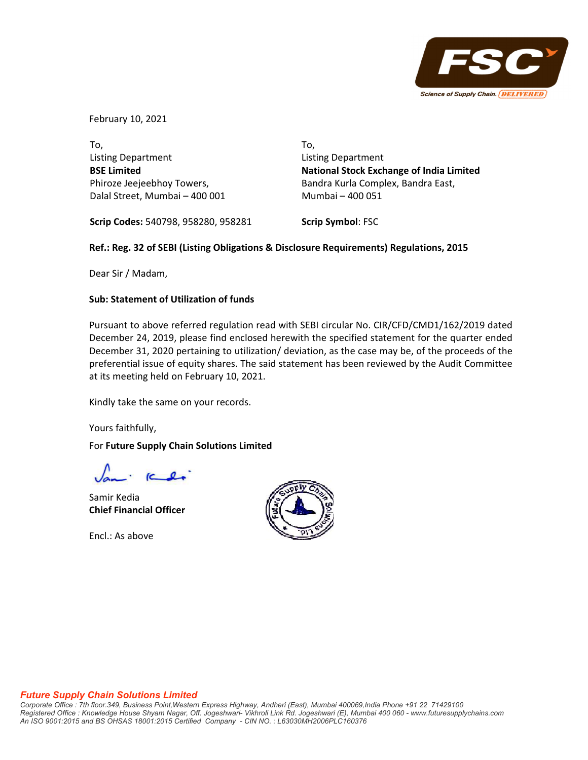

February 10, 2021

To, Listing Department **BSE Limited** Phiroze Jeejeebhoy Towers, Dalal Street, Mumbai – 400 001 To, Listing Department **National Stock Exchange of India Limited** Bandra Kurla Complex, Bandra East, Mumbai – 400 051

**Scrip Codes:** 540798, 958280, 958281

**Scrip Symbol**: FSC

## **Ref.: Reg. 32 of SEBI (Listing Obligations & Disclosure Requirements) Regulations, 2015**

Dear Sir / Madam,

## **Sub: Statement of Utilization of funds**

Pursuant to above referred regulation read with SEBI circular No. CIR/CFD/CMD1/162/2019 dated December 24, 2019, please find enclosed herewith the specified statement for the quarter ended December 31, 2020 pertaining to utilization/ deviation, as the case may be, of the proceeds of the preferential issue of equity shares. The said statement has been reviewed by the Audit Committee at its meeting held on February 10, 2021.

Kindly take the same on your records.

Yours faithfully,

## For **Future Supply Chain Solutions Limited**

 $C_{\bullet}$ 

Samir Kedia **Chief Financial Officer**

Encl.: As above



## *Future Supply Chain Solutions Limited*